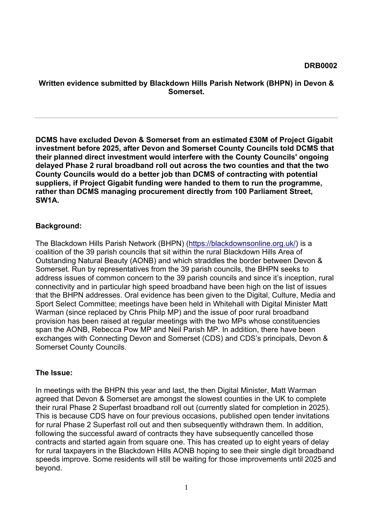#### **Written evidence submitted by Blackdown Hills Parish Network (BHPN) in Devon & Somerset.**

**DCMS have excluded Devon & Somerset from an estimated £30M of Project Gigabit investment before 2025, after Devon and Somerset County Councils told DCMS that their planned direct investment would interfere with the County Councils' ongoing delayed Phase 2 rural broadband roll out across the two counties and that the two County Councils would do a better job than DCMS of contracting with potential suppliers, if Project Gigabit funding were handed to them to run the programme, rather than DCMS managing procurement directly from 100 Parliament Street, SW1A.**

#### **Background:**

The Blackdown Hills Parish Network (BHPN) [\(https://blackdownsonline.org.uk/\)](https://blackdownsonline.org.uk/) is a coalition of the 39 parish councils that sit within the rural Blackdown Hills Area of Outstanding Natural Beauty (AONB) and which straddles the border between Devon & Somerset. Run by representatives from the 39 parish councils, the BHPN seeks to address issues of common concern to the 39 parish councils and since it's inception, rural connectivity and in particular high speed broadband have been high on the list of issues that the BHPN addresses. Oral evidence has been given to the Digital, Culture, Media and Sport Select Committee; meetings have been held in Whitehall with Digital Minister Matt Warman (since replaced by Chris Philp MP) and the issue of poor rural broadband provision has been raised at regular meetings with the two MPs whose constituencies span the AONB, Rebecca Pow MP and Neil Parish MP. In addition, there have been exchanges with Connecting Devon and Somerset (CDS) and CDS's principals, Devon & Somerset County Councils.

### **The Issue:**

In meetings with the BHPN this year and last, the then Digital Minister, Matt Warman agreed that Devon & Somerset are amongst the slowest counties in the UK to complete their rural Phase 2 Superfast broadband roll out (currently slated for completion in 2025). This is because CDS have on four previous occasions, published open tender invitations for rural Phase 2 Superfast roll out and then subsequently withdrawn them. In addition, following the successful award of contracts they have subsequently cancelled those contracts and started again from square one. This has created up to eight years of delay for rural taxpayers in the Blackdown Hills AONB hoping to see their single digit broadband speeds improve. Some residents will still be waiting for those improvements until 2025 and beyond.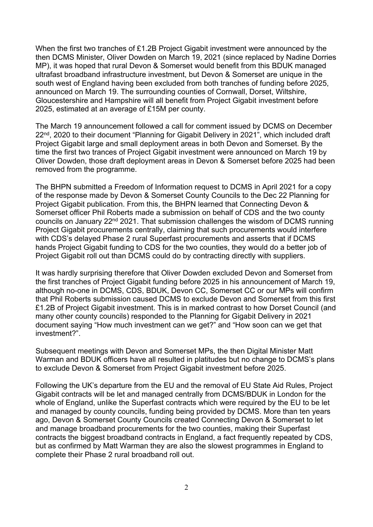When the first two tranches of £1.2B Project Gigabit investment were announced by the then DCMS Minister, Oliver Dowden on March 19, 2021 (since replaced by Nadine Dorries MP), it was hoped that rural Devon & Somerset would benefit from this BDUK managed ultrafast broadband infrastructure investment, but Devon & Somerset are unique in the south west of England having been excluded from both tranches of funding before 2025, announced on March 19. The surrounding counties of Cornwall, Dorset, Wiltshire, Gloucestershire and Hampshire will all benefit from Project Gigabit investment before 2025, estimated at an average of £15M per county.

The March 19 announcement followed a call for comment issued by DCMS on December 22<sup>nd</sup>, 2020 to their document "Planning for Gigabit Delivery in 2021", which included draft Project Gigabit large and small deployment areas in both Devon and Somerset. By the time the first two trances of Project Gigabit investment were announced on March 19 by Oliver Dowden, those draft deployment areas in Devon & Somerset before 2025 had been removed from the programme.

The BHPN submitted a Freedom of Information request to DCMS in April 2021 for a copy of the response made by Devon & Somerset County Councils to the Dec 22 Planning for Project Gigabit publication. From this, the BHPN learned that Connecting Devon & Somerset officer Phil Roberts made a submission on behalf of CDS and the two county councils on January 22nd 2021. That submission challenges the wisdom of DCMS running Project Gigabit procurements centrally, claiming that such procurements would interfere with CDS's delayed Phase 2 rural Superfast procurements and asserts that if DCMS hands Project Gigabit funding to CDS for the two counties, they would do a better job of Project Gigabit roll out than DCMS could do by contracting directly with suppliers.

It was hardly surprising therefore that Oliver Dowden excluded Devon and Somerset from the first tranches of Project Gigabit funding before 2025 in his announcement of March 19, although no-one in DCMS, CDS, BDUK, Devon CC, Somerset CC or our MPs will confirm that Phil Roberts submission caused DCMS to exclude Devon and Somerset from this first £1.2B of Project Gigabit investment. This is in marked contrast to how Dorset Council (and many other county councils) responded to the Planning for Gigabit Delivery in 2021 document saying "How much investment can we get?" and "How soon can we get that investment?".

Subsequent meetings with Devon and Somerset MPs, the then Digital Minister Matt Warman and BDUK officers have all resulted in platitudes but no change to DCMS's plans to exclude Devon & Somerset from Project Gigabit investment before 2025.

Following the UK's departure from the EU and the removal of EU State Aid Rules, Project Gigabit contracts will be let and managed centrally from DCMS/BDUK in London for the whole of England, unlike the Superfast contracts which were required by the EU to be let and managed by county councils, funding being provided by DCMS. More than ten years ago, Devon & Somerset County Councils created Connecting Devon & Somerset to let and manage broadband procurements for the two counties, making their Superfast contracts the biggest broadband contracts in England, a fact frequently repeated by CDS, but as confirmed by Matt Warman they are also the slowest programmes in England to complete their Phase 2 rural broadband roll out.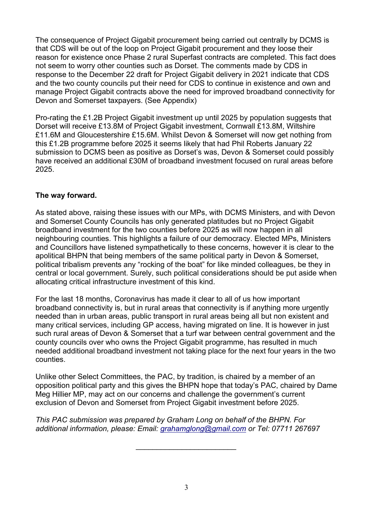The consequence of Project Gigabit procurement being carried out centrally by DCMS is that CDS will be out of the loop on Project Gigabit procurement and they loose their reason for existence once Phase 2 rural Superfast contracts are completed. This fact does not seem to worry other counties such as Dorset. The comments made by CDS in response to the December 22 draft for Project Gigabit delivery in 2021 indicate that CDS and the two county councils put their need for CDS to continue in existence and own and manage Project Gigabit contracts above the need for improved broadband connectivity for Devon and Somerset taxpayers. (See Appendix)

Pro-rating the £1.2B Project Gigabit investment up until 2025 by population suggests that Dorset will receive £13.8M of Project Gigabit investment, Cornwall £13.8M, Wiltshire £11.6M and Gloucestershire £15.6M. Whilst Devon & Somerset will now get nothing from this £1.2B programme before 2025 it seems likely that had Phil Roberts January 22 submission to DCMS been as positive as Dorset's was, Devon & Somerset could possibly have received an additional £30M of broadband investment focused on rural areas before 2025.

#### **The way forward.**

As stated above, raising these issues with our MPs, with DCMS Ministers, and with Devon and Somerset County Councils has only generated platitudes but no Project Gigabit broadband investment for the two counties before 2025 as will now happen in all neighbouring counties. This highlights a failure of our democracy. Elected MPs, Ministers and Councillors have listened sympathetically to these concerns, however it is clear to the apolitical BHPN that being members of the same political party in Devon & Somerset, political tribalism prevents any "rocking of the boat" for like minded colleagues, be they in central or local government. Surely, such political considerations should be put aside when allocating critical infrastructure investment of this kind.

For the last 18 months, Coronavirus has made it clear to all of us how important broadband connectivity is, but in rural areas that connectivity is if anything more urgently needed than in urban areas, public transport in rural areas being all but non existent and many critical services, including GP access, having migrated on line. It is however in just such rural areas of Devon & Somerset that a turf war between central government and the county councils over who owns the Project Gigabit programme, has resulted in much needed additional broadband investment not taking place for the next four years in the two counties.

Unlike other Select Committees, the PAC, by tradition, is chaired by a member of an opposition political party and this gives the BHPN hope that today's PAC, chaired by Dame Meg Hillier MP, may act on our concerns and challenge the government's current exclusion of Devon and Somerset from Project Gigabit investment before 2025.

*This PAC submission was prepared by Graham Long on behalf of the BHPN. For additional information, please: Email: [grahamglong@gmail.com](mailto:grahamglong@gmail.com) or Tel: 07711 267697*

*\_\_\_\_\_\_\_\_\_\_\_\_\_\_\_\_\_\_\_\_\_\_\_\_*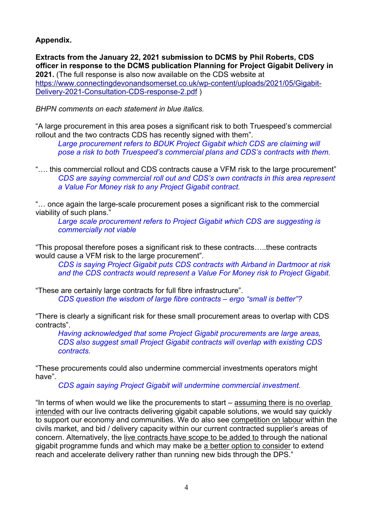## **Appendix.**

**Extracts from the January 22, 2021 submission to DCMS by Phil Roberts, CDS officer in response to the DCMS publication Planning for Project Gigabit Delivery in 2021.** (The full response is also now available on the CDS website at [https://www.connectingdevonandsomerset.co.uk/wp-content/uploads/2021/05/Gigabit-](https://www.connectingdevonandsomerset.co.uk/wp-content/uploads/2021/05/Gigabit-Delivery-2021-Consultation-CDS-response-2.pdf)[Delivery-2021-Consultation-CDS-response-2.pdf](https://www.connectingdevonandsomerset.co.uk/wp-content/uploads/2021/05/Gigabit-Delivery-2021-Consultation-CDS-response-2.pdf) )

*BHPN comments on each statement in blue italics.*

"A large procurement in this area poses a significant risk to both Truespeed's commercial rollout and the two contracts CDS has recently signed with them".

*Large procurement refers to BDUK Project Gigabit which CDS are claiming will pose a risk to both Truespeed's commercial plans and CDS's contracts with them.*

"…. this commercial rollout and CDS contracts cause a VFM risk to the large procurement" *CDS are saying commercial roll out and CDS's own contracts in this area represent a Value For Money risk to any Project Gigabit contract.*

"… once again the large-scale procurement poses a significant risk to the commercial viability of such plans."

*Large scale procurement refers to Project Gigabit which CDS are suggesting is commercially not viable*

"This proposal therefore poses a significant risk to these contracts…..these contracts would cause a VFM risk to the large procurement".

*CDS is saying Project Gigabit puts CDS contracts with Airband in Dartmoor at risk and the CDS contracts would represent a Value For Money risk to Project Gigabit.*

"These are certainly large contracts for full fibre infrastructure". *CDS question the wisdom of large fibre contracts – ergo "small is better"?*

"There is clearly a significant risk for these small procurement areas to overlap with CDS contracts".

*Having acknowledged that some Project Gigabit procurements are large areas, CDS also suggest small Project Gigabit contracts will overlap with existing CDS contracts.*

"These procurements could also undermine commercial investments operators might have".

*CDS again saying Project Gigabit will undermine commercial investment.*

"In terms of when would we like the procurements to start – assuming there is no overlap intended with our live contracts delivering gigabit capable solutions, we would say quickly to support our economy and communities. We do also see competition on labour within the civils market, and bid / delivery capacity within our current contracted supplier's areas of concern. Alternatively, the live contracts have scope to be added to through the national gigabit programme funds and which may make be a better option to consider to extend reach and accelerate delivery rather than running new bids through the DPS."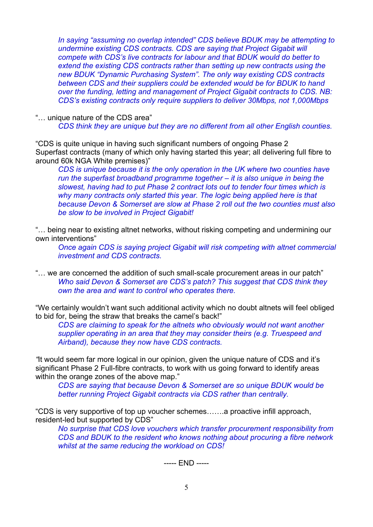*In saying "assuming no overlap intended" CDS believe BDUK may be attempting to undermine existing CDS contracts. CDS are saying that Project Gigabit will compete with CDS's live contracts for labour and that BDUK would do better to extend the existing CDS contracts rather than setting up new contracts using the new BDUK "Dynamic Purchasing System". The only way existing CDS contracts between CDS and their suppliers could be extended would be for BDUK to hand over the funding, letting and management of Project Gigabit contracts to CDS. NB: CDS's existing contracts only require suppliers to deliver 30Mbps, not 1,000Mbps*

"… unique nature of the CDS area"

*CDS think they are unique but they are no different from all other English counties.*

"CDS is quite unique in having such significant numbers of ongoing Phase 2 Superfast contracts (many of which only having started this year; all delivering full fibre to around 60k NGA White premises)"

*CDS is unique because it is the only operation in the UK where two counties have run the superfast broadband programme together – it is also unique in being the slowest, having had to put Phase 2 contract lots out to tender four times which is why many contracts only started this year. The logic being applied here is that because Devon & Somerset are slow at Phase 2 roll out the two counties must also be slow to be involved in Project Gigabit!*

"… being near to existing altnet networks, without risking competing and undermining our own interventions"

*Once again CDS is saying project Gigabit will risk competing with altnet commercial investment and CDS contracts.*

"… we are concerned the addition of such small-scale procurement areas in our patch" *Who said Devon & Somerset are CDS's patch? This suggest that CDS think they own the area and want to control who operates there.*

"We certainly wouldn't want such additional activity which no doubt altnets will feel obliged to bid for, being the straw that breaks the camel's back!"

*CDS are claiming to speak for the altnets who obviously would not want another supplier operating in an area that they may consider theirs (e.g. Truespeed and Airband), because they now have CDS contracts.* 

*"*It would seem far more logical in our opinion, given the unique nature of CDS and it's significant Phase 2 Full-fibre contracts, to work with us going forward to identify areas within the orange zones of the above map."

*CDS are saying that because Devon & Somerset are so unique BDUK would be better running Project Gigabit contracts via CDS rather than centrally.*

"CDS is very supportive of top up voucher schemes…….a proactive infill approach, resident-led but supported by CDS"

*No surprise that CDS love vouchers which transfer procurement responsibility from CDS and BDUK to the resident who knows nothing about procuring a fibre network whilst at the same reducing the workload on CDS!*

----- END -----